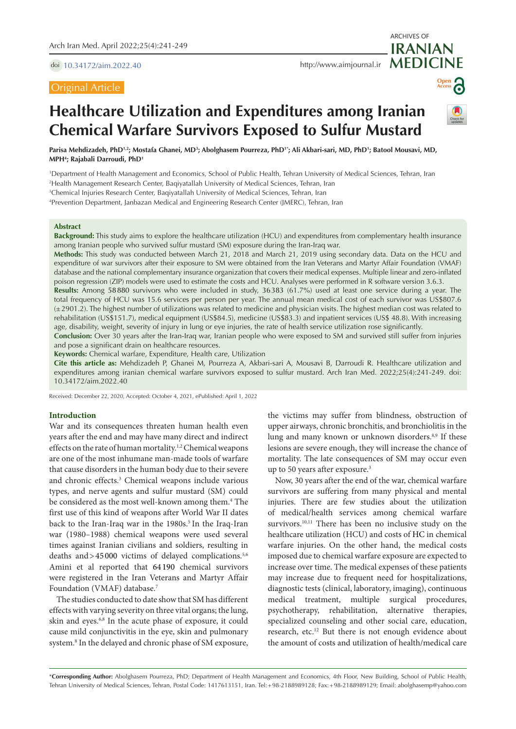doi [10.34172/aim.2022.40](https://doi.org/10.34172/aim.2022.40)

## Original Article

**MEDICINE** <http://www.aimjournal.ir>

# **Open Access**

ARCHIVES OF

**IRANIAN**

# **Healthcare Utilization and Expenditures among Iranian Chemical Warfare Survivors Exposed to Sulfur Mustard**

Parisa Mehdizadeh, PhD<u>12; Mostafa Ghanei, MD3; Abolghasem Pourreza, PhD1\*; Ali Akbari-sari, MD, PhD1; Batool Mousavi, MD,</u> **MPH4 ; Rajabali Darroudi, PhD1**

1 Department of Health Management and Economics, School of Public Health, Tehran University of Medical Sciences, Tehran, Iran 2 Health Management Research Center, Baqiyatallah University of Medical Sciences, Tehran, Iran

3 Chemical Injuries Research Center, Baqiyatallah University of Medical Sciences, Tehran, Iran

4 Prevention Department, Janbazan Medical and Engineering Research Center (JMERC), Tehran, Iran

## **Abstract**

**Background:** This study aims to explore the healthcare utilization (HCU) and expenditures from complementary health insurance among Iranian people who survived sulfur mustard (SM) exposure during the Iran-Iraq war.

**Methods:** This study was conducted between March 21, 2018 and March 21, 2019 using secondary data. Data on the HCU and expenditure of war survivors after their exposure to SM were obtained from the Iran Veterans and Martyr Affair Foundation (VMAF) database and the national complementary insurance organization that covers their medical expenses. Multiple linear and zero-inflated poison regression (ZIP) models were used to estimate the costs and HCU. Analyses were performed in R software version 3.6.3.

**Results:** Among 58880 survivors who were included in study, 36383 (61.7%) used at least one service during a year. The total frequency of HCU was 15.6 services per person per year. The annual mean medical cost of each survivor was US\$807.6 (±2901.2). The highest number of utilizations was related to medicine and physician visits. The highest median cost was related to rehabilitation (US\$151.7), medical equipment (US\$84.5), medicine (US\$83.3) and inpatient services (US\$ 48.8). With increasing age, disability, weight, severity of injury in lung or eye injuries, the rate of health service utilization rose significantly.

**Conclusion:** Over 30 years after the Iran-Iraq war, Iranian people who were exposed to SM and survived still suffer from injuries and pose a significant drain on healthcare resources.

**Keywords:** Chemical warfare, Expenditure, Health care, Utilization

**Cite this article as:** Mehdizadeh P, Ghanei M, Pourreza A, Akbari-sari A, Mousavi B, Darroudi R. Healthcare utilization and expenditures among iranian chemical warfare survivors exposed to sulfur mustard. Arch Iran Med. 2022;25(4):241-249. doi: 10.34172/aim.2022.40

Received: December 22, 2020, Accepted: October 4, 2021, ePublished: April 1, 2022

### **Introduction**

War and its consequences threaten human health even years after the end and may have many direct and indirect effects on the rate of human mortality.<sup>1,2</sup> Chemical weapons are one of the most inhumane man-made tools of warfare that cause disorders in the human body due to their severe and chronic effects.3 Chemical weapons include various types, and nerve agents and sulfur mustard (SM) could be considered as the most well-known among them.<sup>4</sup> The first use of this kind of weapons after World War II dates back to the Iran-Iraq war in the 1980s.<sup>5</sup> In the Iraq-Iran war (1980–1988) chemical weapons were used several times against Iranian civilians and soldiers, resulting in deaths and  $>45000$  victims of delayed complications.<sup>5,6</sup> Amini et al reported that 64 190 chemical survivors were registered in the Iran Veterans and Martyr Affair Foundation (VMAF) database.7

The studies conducted to date show that SM has different effects with varying severity on three vital organs; the lung, skin and eyes.6,8 In the acute phase of exposure, it could cause mild conjunctivitis in the eye, skin and pulmonary system.<sup>8</sup> In the delayed and chronic phase of SM exposure,

the victims may suffer from blindness, obstruction of upper airways, chronic bronchitis, and bronchiolitis in the lung and many known or unknown disorders.<sup>8,9</sup> If these lesions are severe enough, they will increase the chance of mortality. The late consequences of SM may occur even up to 50 years after exposure.3

Now, 30 years after the end of the war, chemical warfare survivors are suffering from many physical and mental injuries. There are few studies about the utilization of medical/health services among chemical warfare survivors.<sup>10,11</sup> There has been no inclusive study on the healthcare utilization (HCU) and costs of HC in chemical warfare injuries. On the other hand, the medical costs imposed due to chemical warfare exposure are expected to increase over time. The medical expenses of these patients may increase due to frequent need for hospitalizations, diagnostic tests (clinical, laboratory, imaging), continuous medical treatment, multiple surgical procedures, psychotherapy, rehabilitation, alternative therapies, specialized counseling and other social care, education, research, etc.<sup>12</sup> But there is not enough evidence about the amount of costs and utilization of health/medical care

\***Corresponding Author:** Abolghasem Pourreza, PhD; Department of Health Management and Economics, 4th Floor, New Building, School of Public Health, Tehran University of Medical Sciences, Tehran, Postal Code: 1417613151, Iran. Tel:+98-2188989128; Fax:+98-2188989129; Email: abolghasemp@yahoo.com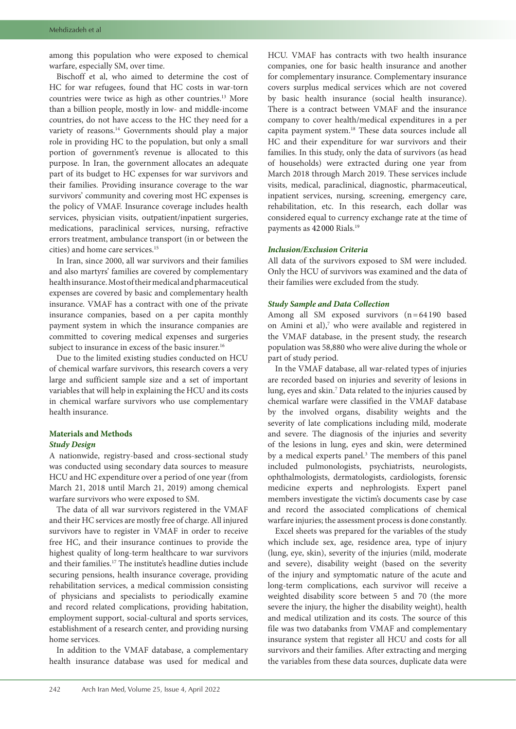among this population who were exposed to chemical warfare, especially SM, over time.

Bischoff et al, who aimed to determine the cost of HC for war refugees, found that HC costs in war-torn countries were twice as high as other countries.13 More than a billion people, mostly in low- and middle-income countries, do not have access to the HC they need for a variety of reasons.<sup>14</sup> Governments should play a major role in providing HC to the population, but only a small portion of government's revenue is allocated to this purpose. In Iran, the government allocates an adequate part of its budget to HC expenses for war survivors and their families. Providing insurance coverage to the war survivors' community and covering most HC expenses is the policy of VMAF. Insurance coverage includes health services, physician visits, outpatient/inpatient surgeries, medications, paraclinical services, nursing, refractive errors treatment, ambulance transport (in or between the cities) and home care services.15

In Iran, since 2000, all war survivors and their families and also martyrs' families are covered by complementary health insurance. Most of their medical and pharmaceutical expenses are covered by basic and complementary health insurance. VMAF has a contract with one of the private insurance companies, based on a per capita monthly payment system in which the insurance companies are committed to covering medical expenses and surgeries subject to insurance in excess of the basic insurer.<sup>16</sup>

Due to the limited existing studies conducted on HCU of chemical warfare survivors, this research covers a very large and sufficient sample size and a set of important variables that will help in explaining the HCU and its costs in chemical warfare survivors who use complementary health insurance.

## **Materials and Methods** *Study Design*

A nationwide, registry-based and cross-sectional study was conducted using secondary data sources to measure HCU and HC expenditure over a period of one year (from March 21, 2018 until March 21, 2019) among chemical warfare survivors who were exposed to SM.

The data of all war survivors registered in the VMAF and their HC services are mostly free of charge. All injured survivors have to register in VMAF in order to receive free HC, and their insurance continues to provide the highest quality of long-term healthcare to war survivors and their families. $^{\rm 17}$  The institute's headline duties include securing pensions, health insurance coverage, providing rehabilitation services, a medical commission consisting of physicians and specialists to periodically examine and record related complications, providing habitation, employment support, social-cultural and sports services, establishment of a research center, and providing nursing home services.

In addition to the VMAF database, a complementary health insurance database was used for medical and HCU. VMAF has contracts with two health insurance companies, one for basic health insurance and another for complementary insurance. Complementary insurance covers surplus medical services which are not covered by basic health insurance (social health insurance). There is a contract between VMAF and the insurance company to cover health/medical expenditures in a per capita payment system.<sup>18</sup> These data sources include all HC and their expenditure for war survivors and their families. In this study, only the data of survivors (as head of households) were extracted during one year from March 2018 through March 2019. These services include visits, medical, paraclinical, diagnostic, pharmaceutical, inpatient services, nursing, screening, emergency care, rehabilitation, etc. In this research, each dollar was considered equal to currency exchange rate at the time of payments as 42 000 Rials.19

## *Inclusion/Exclusion Criteria*

All data of the survivors exposed to SM were included. Only the HCU of survivors was examined and the data of their families were excluded from the study.

### *Study Sample and Data Collection*

Among all SM exposed survivors (n=64 190 based on Amini et al), $7$  who were available and registered in the VMAF database, in the present study, the research population was 58,880 who were alive during the whole or part of study period.

In the VMAF database, all war-related types of injuries are recorded based on injuries and severity of lesions in lung, eyes and skin.7 Data related to the injuries caused by chemical warfare were classified in the VMAF database by the involved organs, disability weights and the severity of late complications including mild, moderate and severe. The diagnosis of the injuries and severity of the lesions in lung, eyes and skin, were determined by a medical experts panel.<sup>3</sup> The members of this panel included pulmonologists, psychiatrists, neurologists, ophthalmologists, dermatologists, cardiologists, forensic medicine experts and nephrologists. Expert panel members investigate the victim's documents case by case and record the associated complications of chemical warfare injuries; the assessment process is done constantly.

Excel sheets was prepared for the variables of the study which include sex, age, residence area, type of injury (lung, eye, skin), severity of the injuries (mild, moderate and severe), disability weight (based on the severity of the injury and symptomatic nature of the acute and long-term complications, each survivor will receive a weighted disability score between 5 and 70 (the more severe the injury, the higher the disability weight), health and medical utilization and its costs. The source of this file was two databanks from VMAF and complementary insurance system that register all HCU and costs for all survivors and their families. After extracting and merging the variables from these data sources, duplicate data were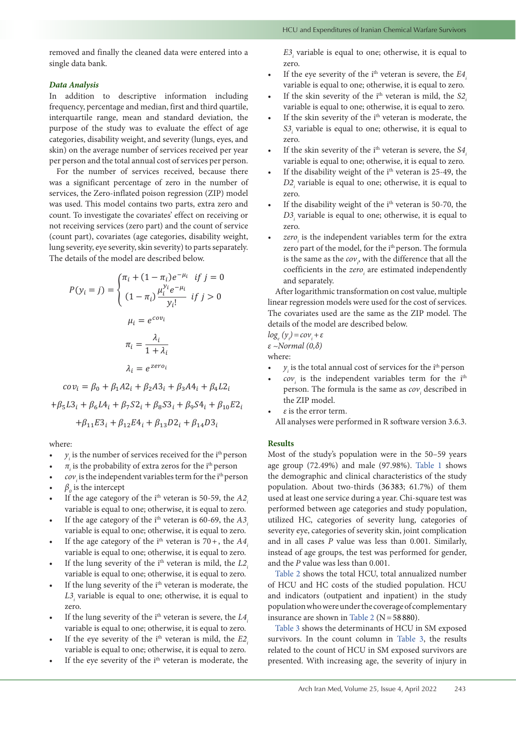removed and finally the cleaned data were entered into a single data bank.

## *Data Analysis*

In addition to descriptive information including frequency, percentage and median, first and third quartile, interquartile range, mean and standard deviation, the purpose of the study was to evaluate the effect of age categories, disability weight, and severity (lungs, eyes, and skin) on the average number of services received per year per person and the total annual cost of services per person.

For the number of services received, because there was a significant percentage of zero in the number of services, the Zero-inflated poison regression (ZIP) model was used. This model contains two parts, extra zero and count. To investigate the covariates' effect on receiving or not receiving services (zero part) and the count of service (count part), covariates (age categories, disability weight, lung severity, eye severity, skin severity) to parts separately. The details of the model are described below.

$$
P(y_i = j) = \begin{cases} \pi_i + (1 - \pi_i)e^{-\mu_i} & \text{if } j = 0 \\ (1 - \pi_i)\frac{\mu_i^{y_i}e^{-\mu_i}}{y_i!} & \text{if } j > 0 \end{cases}
$$

$$
\mu_i = e^{cov_i}
$$

$$
\pi_i = \frac{\lambda_i}{1 + \lambda_i}
$$

$$
\lambda_i = e^{zero_i}
$$

 $cov_i = \beta_0 + \beta_1 A 2_i + \beta_2 A 3_i + \beta_3 A 4_i + \beta_4 L 2_i$  $+\beta_5 L3_i + \beta_6 L4_i + \beta_7 S2_i + \beta_8 S3_i + \beta_9 S4_i + \beta_{10} E2_i$  $+\beta_{11}E3_i + \beta_{12}E4_i + \beta_{13}D2_i + \beta_{14}D3_i$ 

where:

- $y_i$  is the number of services received for the i<sup>th</sup> person
- $\pi$ <sub>i</sub> is the probability of extra zeros for the i<sup>th</sup> person
- $cov_i$  is the independent variables term for the i<sup>th</sup> person
- $\beta_0$  is the intercept
- If the age category of the ith veteran is 50-59, the *A2i* variable is equal to one; otherwise, it is equal to zero.
- If the age category of the i<sup>th</sup> veteran is 60-69, the *A3*. variable is equal to one; otherwise, it is equal to zero.
- If the age category of the i<sup>th</sup> veteran is  $70 +$ , the  $A4$ . variable is equal to one; otherwise, it is equal to zero.
- If the lung severity of the i<sup>th</sup> veteran is mild, the *L2*. variable is equal to one; otherwise, it is equal to zero.
- If the lung severity of the i<sup>th</sup> veteran is moderate, the  $L3_i$  variable is equal to one; otherwise, it is equal to zero.
- If the lung severity of the  $i<sup>th</sup>$  veteran is severe, the  $L4$ . variable is equal to one; otherwise, it is equal to zero.
- If the eye severity of the i<sup>th</sup> veteran is mild, the *E2*<sub>*i*</sub> variable is equal to one; otherwise, it is equal to zero.
- If the eye severity of the i<sup>th</sup> veteran is moderate, the

 $E3$ <sub>*i*</sub> variable is equal to one; otherwise, it is equal to zero.

- If the eye severity of the i<sup>th</sup> veteran is severe, the *E4*<sub>*i*</sub> variable is equal to one; otherwise, it is equal to zero.
- If the skin severity of the i<sup>th</sup> veteran is mild, the *S2*. variable is equal to one; otherwise, it is equal to zero.
- If the skin severity of the i<sup>th</sup> veteran is moderate, the S3<sub>i</sub> variable is equal to one; otherwise, it is equal to zero.
- If the skin severity of the i<sup>th</sup> veteran is severe, the *S4*. variable is equal to one; otherwise, it is equal to zero.
- If the disability weight of the i<sup>th</sup> veteran is 25-49, the D2<sub>i</sub> variable is equal to one; otherwise, it is equal to zero.
- If the disability weight of the  $i<sup>th</sup>$  veteran is 50-70, the D3<sub>i</sub> variable is equal to one; otherwise, it is equal to zero.
- *zero<sub>i</sub>* is the independent variables term for the extra zero part of the model, for the i<sup>th</sup> person. The formula is the same as the  $cov$ <sub>,</sub>, with the difference that all the coefficients in the  $zero<sub>i</sub>$  are estimated independently and separately.

After logarithmic transformation on cost value, multiple linear regression models were used for the cost of services. The covariates used are the same as the ZIP model. The details of the model are described below.

 $log<sub>e</sub>(y<sub>i</sub>) = cov<sub>i</sub> + ε$ 

*ε ~Normal (0,δ)*

where:

- $y_i$  is the total annual cost of services for the i<sup>th</sup> person
- *cov<sub>i</sub>* is the independent variables term for the i<sup>th</sup> person. The formula is the same as  $cov<sub>i</sub>$  described in the ZIP model.
- *• ε* is the error term. All analyses were performed in R software version 3.6.3.

#### **Results**

Most of the study's population were in the 50–59 years age group (72.49%) and male (97.98%). [Table](#page-3-0) 1 shows the demographic and clinical characteristics of the study population. About two-thirds (36 383; 61.7%) of them used at least one service during a year. Chi-square test was performed between age categories and study population, utilized HC, categories of severity lung, categories of severity eye, categories of severity skin, joint complication and in all cases *P* value was less than 0.001. Similarly, instead of age groups, the test was performed for gender, and the *P* value was less than 0.001.

[Table](#page-3-1) 2 shows the total HCU, total annualized number of HCU and HC costs of the studied population. HCU and indicators (outpatient and inpatient) in the study population who were under the coverage of complementary insurance are shown in [Table](#page-3-1) 2 (N=58 880).

[Table](#page-4-0) 3 shows the determinants of HCU in SM exposed survivors. In the count column in [Table](#page-4-0) 3, the results related to the count of HCU in SM exposed survivors are presented. With increasing age, the severity of injury in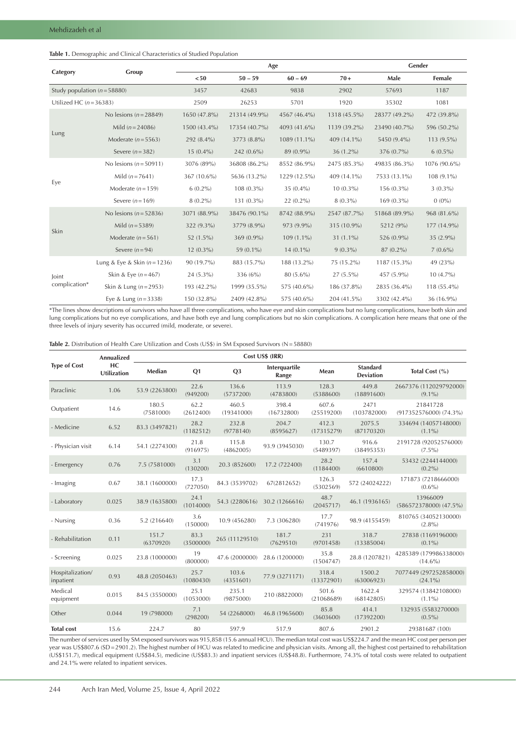## <span id="page-3-0"></span>**Table 1.** Demographic and Clinical Characteristics of Studied Population

|                                  |                              |              | Age           | Gender       |              |               |              |
|----------------------------------|------------------------------|--------------|---------------|--------------|--------------|---------------|--------------|
| Category                         | Group                        | < 50         | $50 - 59$     | $60 - 69$    | $70+$        | Male          | Female       |
| Study population ( $n = 58880$ ) |                              | 3457         | 42683         | 9838         | 2902         | 57693         | 1187         |
| Utilized HC $(n=36383)$          |                              | 2509         | 26253         | 5701         | 1920         | 35302         | 1081         |
|                                  | No lesions ( $n = 28849$ )   | 1650 (47.8%) | 21314 (49.9%) | 4567 (46.4%) | 1318 (45.5%) | 28377 (49.2%) | 472 (39.8%)  |
|                                  | Mild $(n=24086)$             | 1500 (43.4%) | 17354 (40.7%) | 4093 (41.6%) | 1139 (39.2%) | 23490 (40.7%) | 596 (50.2%)  |
| Lung                             | Moderate ( $n = 5563$ )      | 292 (8.4%)   | 3773 (8.8%)   | 1089 (11.1%) | 409 (14.1%)  | 5450 (9.4%)   | 113 (9.5%)   |
|                                  | Severe $(n=382)$             | $15(0.4\%)$  | $242(0.6\%)$  | 89 (0.9%)    | $36(1.2\%)$  | 376 (0.7%)    | $6(0.5\%)$   |
|                                  | No lesions ( $n = 50911$ )   | 3076 (89%)   | 36808 (86.2%) | 8552 (86.9%) | 2475 (85.3%) | 49835 (86.3%) | 1076 (90.6%) |
|                                  | Mild $(n = 7641)$            | 367 (10.6%)  | 5636 (13.2%)  | 1229 (12.5%) | 409 (14.1%)  | 7533 (13.1%)  | 108 (9.1%)   |
| Eye                              | Moderate $(n=159)$           | $6(0.2\%)$   | $108(0.3\%)$  | $35(0.4\%)$  | $10(0.3\%)$  | 156 (0.3%)    | $3(0.3\%)$   |
|                                  | Severe $(n=169)$             | $8(0.2\%)$   | 131 (0.3%)    | $22(0.2\%)$  | $8(0.3\%)$   | 169 (0.3%)    | $0(0\%)$     |
|                                  | No lesions ( $n = 52836$ )   | 3071 (88.9%) | 38476 (90.1%) | 8742 (88.9%) | 2547 (87.7%) | 51868 (89.9%) | 968 (81.6%)  |
|                                  | Mild $(n = 5389)$            | 322 (9.3%)   | 3779 (8.9%)   | 973 (9.9%)   | 315 (10.9%)  | 5212 (9%)     | 177 (14.9%)  |
| Skin                             | Moderate $(n=561)$           | 52 (1.5%)    | $369(0.9\%)$  | $109(1.1\%)$ | $31(1.1\%)$  | 526 (0.9%)    | $35(2.9\%)$  |
|                                  | Severe $(n=94)$              | $12(0.3\%)$  | 59 (0.1%)     | $14(0.1\%)$  | $9(0.3\%)$   | 87 (0.2%)     | $7(0.6\%)$   |
| Joint<br>complication*           | Lung & Eye & Skin $(n=1236)$ | 90 (19.7%)   | 883 (15.7%)   | 188 (13.2%)  | 75 (15.2%)   | 1187 (15.3%)  | 49 (23%)     |
|                                  | Skin & Eye $(n = 467)$       | $24(5.3\%)$  | 336 (6%)      | 80 (5.6%)    | $27(5.5\%)$  | 457 (5.9%)    | $10(4.7\%)$  |
|                                  | Skin & Lung $(n=2953)$       | 193 (42.2%)  | 1999 (35.5%)  | 575 (40.6%)  | 186 (37.8%)  | 2835 (36.4%)  | 118 (55.4%)  |
|                                  | Eye & Lung $(n = 3338)$      | 150 (32.8%)  | 2409 (42.8%)  | 575 (40.6%)  | 204 (41.5%)  | 3302 (42.4%)  | 36 (16.9%)   |

\*The lines show descriptions of survivors who have all three complications, who have eye and skin complications but no lung complications, have both skin and lung complications but no eye complications, and have both eye and lung complications but no skin complications. A complication here means that one of the three levels of injury severity has occurred (mild, moderate, or severe).

<span id="page-3-1"></span>Table 2. Distribution of Health Care Utilization and Costs (US\$) in SM Exposed Survivors (N=58880)

|                               | <b>Annualized</b>        |                    |                   |                     |                        |                     |                                     |                                         |
|-------------------------------|--------------------------|--------------------|-------------------|---------------------|------------------------|---------------------|-------------------------------------|-----------------------------------------|
| <b>Type of Cost</b>           | HC<br><b>Utilization</b> | Median             | Q1                | Q <sub>3</sub>      | Interquartile<br>Range | Mean                | <b>Standard</b><br><b>Deviation</b> | Total Cost (%)                          |
| Paraclinic                    | 1.06                     | 53.9 (2263800)     | 22.6<br>(949200)  | 136.6<br>(5737200)  | 113.9<br>(4783800)     | 128.3<br>(5388600)  | 449.8<br>(18891600)                 | 2667376 (112029792000)<br>$(9.1\%)$     |
| Outpatient                    | 14.6                     | 180.5<br>(7581000) | 62.2<br>(2612400) | 460.5<br>(19341000) | 398.4<br>(16732800)    | 607.6<br>(25519200) | 2471<br>(103782000)                 | 21841728<br>$(917352576000)$ $(74.3\%)$ |
| - Medicine                    | 6.52                     | 83.3 (3497821)     | 28.2<br>(1182512) | 232.8<br>(9778140)  | 204.7<br>(8595627)     | 412.3<br>(17315279) | 2075.5<br>(87170320)                | 334694 (14057148000)<br>$(1.1\%)$       |
| - Physician visit             | 6.14                     | 54.1 (2274300)     | 21.8<br>(916975)  | 115.8<br>(4862005)  | 93.9 (3945030)         | 130.7<br>(5489397)  | 916.6<br>(38495353)                 | 2191728 (92052576000)<br>$(7.5\%)$      |
| - Emergency                   | 0.76                     | 7.5 (7581000)      | 3.1<br>(130200)   | 20.3 (852600)       | 17.2 (722400)          | 28.2<br>(1184400)   | 157.4<br>(6610800)                  | 53432 (2244144000)<br>$(0.2\%)$         |
| - Imaging                     | 0.67                     | 38.1 (1600000)     | 17.3<br>(727050)  | 84.3 (3539702)      | 67(2812652)            | 126.3<br>(5302569)  | 572 (24024222)                      | 171873 (7218666000)<br>$(0.6\%)$        |
| - Laboratory                  | 0.025                    | 38.9 (1635800)     | 24.1<br>(1014000) | 54.3 (2280616)      | 30.2 (1266616)         | 48.7<br>(2045717)   | 46.1 (1936165)                      | 13966009<br>$(586572378000)$ $(47.5\%)$ |
| - Nursing                     | 0.36                     | 5.2 (216640)       | 3.6<br>(150000)   | 10.9 (456280)       | 7.3 (306280)           | 17.7<br>(741976)    | 98.9 (4155459)                      | 810765 (34052130000)<br>$(2.8\%)$       |
| - Rehabilitation              | 0.11                     | 151.7<br>(6370920) | 83.3<br>(3500000) | 265 (11129510)      | 181.7<br>(7629510)     | 231<br>(9701458)    | 318.7<br>(13385004)                 | 27838 (1169196000)<br>$(0.1\%)$         |
| - Screening                   | 0.025                    | 23.8 (1000000)     | 19<br>(800000)    | 47.6 (2000000)      | 28.6 (1200000)         | 35.8<br>(1504747)   | 28.8 (1207821)                      | 4285389 (179986338000)<br>$(14.6\%)$    |
| Hospitalization/<br>inpatient | 0.93                     | 48.8 (2050463)     | 25.7<br>(1080430) | 103.6<br>(4351601)  | 77.9 (3271171)         | 318.4<br>(13372901) | 1500.2<br>(63006923)                | 7077449 (297252858000)<br>$(24.1\%)$    |
| Medical<br>equipment          | 0.015                    | 84.5 (3550000)     | 25.1<br>(1053000) | 235.1<br>(9875000)  | 210 (8822000)          | 501.6<br>(21068689) | 1622.4<br>(68142805)                | 329574 (13842108000)<br>$(1.1\%)$       |
| Other                         | 0.044                    | 19 (798000)        | 7.1<br>(298200)   | 54 (2268000)        | 46.8 (1965600)         | 85.8<br>(3603600)   | 414.1<br>(17392200)                 | 132935 (5583270000)<br>$(0.5\%)$        |
| <b>Total cost</b>             | 15.6                     | 224.7              | 80                | 597.9               | 517.9                  | 807.6               | 2901.2                              | 29381687 (100)                          |

The number of services used by SM exposed survivors was 915,858 (15.6 annual HCU). The median total cost was US\$224.7 and the mean HC cost per person per year was US\$807.6 (SD=2901.2). The highest number of HCU was related to medicine and physician visits. Among all, the highest cost pertained to rehabilitation (US\$151.7), medical equipment (US\$84.5), medicine (US\$83.3) and inpatient services (US\$48.8). Furthermore, 74.3% of total costs were related to outpatient and 24.1% were related to inpatient services.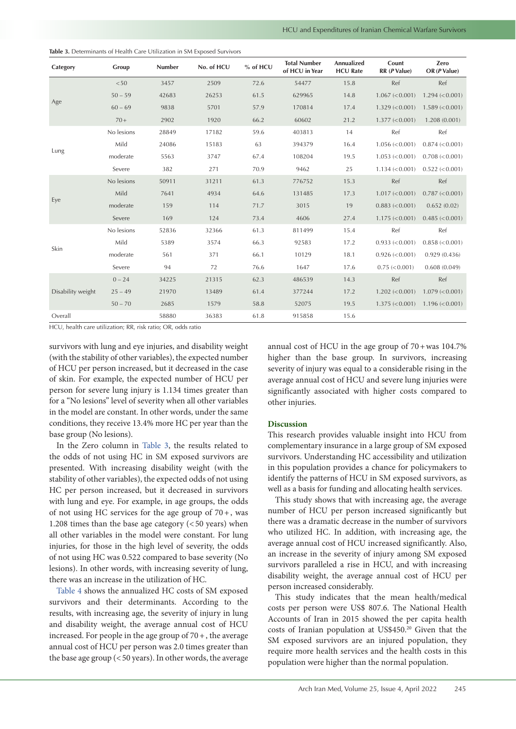| Category          | Group      | Number | No. of HCU | % of HCU | <b>Total Number</b><br>of HCU in Year | Annualized<br><b>HCU Rate</b> | Count<br>$RR$ ( $P$ Value)   | Zero<br>OR (P Value) |
|-------------------|------------|--------|------------|----------|---------------------------------------|-------------------------------|------------------------------|----------------------|
|                   | < 50       | 3457   | 2509       | 72.6     | 54477                                 | 15.8                          | Ref                          | Ref                  |
|                   | $50 - 59$  | 42683  | 26253      | 61.5     | 629965                                | 14.8                          | 1.067 (< 0.001)              | $1.294 \le 0.001$    |
| Age               | $60 - 69$  | 9838   | 5701       | 57.9     | 170814                                | 17.4                          | $1.329 \, (< 0.001)$         | $1.589 \le 0.001$    |
|                   | $70+$      | 2902   | 1920       | 66.2     | 60602                                 | 21.2                          | $1.377 (< 0.001$ )           | 1.208(0.001)         |
|                   | No lesions | 28849  | 17182      | 59.6     | 403813                                | 14                            | Ref                          | Ref                  |
| Lung              | Mild       | 24086  | 15183      | 63       | 394379                                | 16.4                          | $1.056 \, (< 0.001)$         | 0.874 (< 0.001)      |
|                   | moderate   | 5563   | 3747       | 67.4     | 108204                                | 19.5                          | $1.053 \le 0.001$            | $0.708 \le 0.001$    |
|                   | Severe     | 382    | 271        | 70.9     | 9462                                  | 25                            | $1.134 \, \textless\, 0.001$ | $0.522 \le 0.001$    |
|                   | No lesions | 50911  | 31211      | 61.3     | 776752                                | 15.3                          | Ref                          | Ref                  |
|                   | Mild       | 7641   | 4934       | 64.6     | 131485                                | 17.3                          | $1.017 \, \textless\, 0.001$ | 0.787 (< 0.001)      |
| Eye               | moderate   | 159    | 114        | 71.7     | 3015                                  | 19                            | 0.883 (< 0.001)              | 0.652(0.02)          |
|                   | Severe     | 169    | 124        | 73.4     | 4606                                  | 27.4                          | $1.175 \approx 0.001$        | $0.485 \le 0.001$    |
|                   | No lesions | 52836  | 32366      | 61.3     | 811499                                | 15.4                          | Ref                          | Ref                  |
|                   | Mild       | 5389   | 3574       | 66.3     | 92583                                 | 17.2                          | 0.933 < 0.001                | $0.858 \le 0.001$    |
| Skin              | moderate   | 561    | 371        | 66.1     | 10129                                 | 18.1                          | $0.926 \le 0.001$            | 0.929(0.436)         |
|                   | Severe     | 94     | 72         | 76.6     | 1647                                  | 17.6                          | $0.75 \leq 0.001$            | 0.608(0.049)         |
|                   | $0 - 24$   | 34225  | 21315      | 62.3     | 486539                                | 14.3                          | Ref                          | Ref                  |
| Disability weight | $25 - 49$  | 21970  | 13489      | 61.4     | 377244                                | 17.2                          | $1.202 \le 0.001$            | $1.079 \le 0.001$    |
|                   | $50 - 70$  | 2685   | 1579       | 58.8     | 52075                                 | 19.5                          | $1.375 \approx 0.001$        | $1.196 \le 0.001$    |
| Overall           |            | 58880  | 36383      | 61.8     | 915858                                | 15.6                          |                              |                      |

<span id="page-4-0"></span>**Table 3.** Determinants of Health Care Utilization in SM Exposed Survivors

HCU, health care utilization; RR, risk ratio; OR, odds ratio

survivors with lung and eye injuries, and disability weight (with the stability of other variables), the expected number of HCU per person increased, but it decreased in the case of skin. For example, the expected number of HCU per person for severe lung injury is 1.134 times greater than for a "No lesions" level of severity when all other variables in the model are constant. In other words, under the same conditions, they receive 13.4% more HC per year than the base group (No lesions).

In the Zero column in [Table](#page-4-0) 3, the results related to the odds of not using HC in SM exposed survivors are presented. With increasing disability weight (with the stability of other variables), the expected odds of not using HC per person increased, but it decreased in survivors with lung and eye. For example, in age groups, the odds of not using HC services for the age group of  $70+$ , was 1.208 times than the base age category  $( $50$  years) when$ all other variables in the model were constant. For lung injuries, for those in the high level of severity, the odds of not using HC was 0.522 compared to base severity (No lesions). In other words, with increasing severity of lung, there was an increase in the utilization of HC.

[Table](#page-5-0) 4 shows the annualized HC costs of SM exposed survivors and their determinants. According to the results, with increasing age, the severity of injury in lung and disability weight, the average annual cost of HCU increased. For people in the age group of  $70 +$ , the average annual cost of HCU per person was 2.0 times greater than the base age group  $( $50$  years). In other words, the average$ 

annual cost of HCU in the age group of  $70+$ was  $104.7%$ higher than the base group. In survivors, increasing severity of injury was equal to a considerable rising in the average annual cost of HCU and severe lung injuries were significantly associated with higher costs compared to other injuries.

## **Discussion**

This research provides valuable insight into HCU from complementary insurance in a large group of SM exposed survivors. Understanding HC accessibility and utilization in this population provides a chance for policymakers to identify the patterns of HCU in SM exposed survivors, as well as a basis for funding and allocating health services.

This study shows that with increasing age, the average number of HCU per person increased significantly but there was a dramatic decrease in the number of survivors who utilized HC. In addition, with increasing age, the average annual cost of HCU increased significantly. Also, an increase in the severity of injury among SM exposed survivors paralleled a rise in HCU, and with increasing disability weight, the average annual cost of HCU per person increased considerably.

This study indicates that the mean health/medical costs per person were US\$ 807.6. The National Health Accounts of Iran in 2015 showed the per capita health costs of Iranian population at US\$450.20 Given that the SM exposed survivors are an injured population, they require more health services and the health costs in this population were higher than the normal population.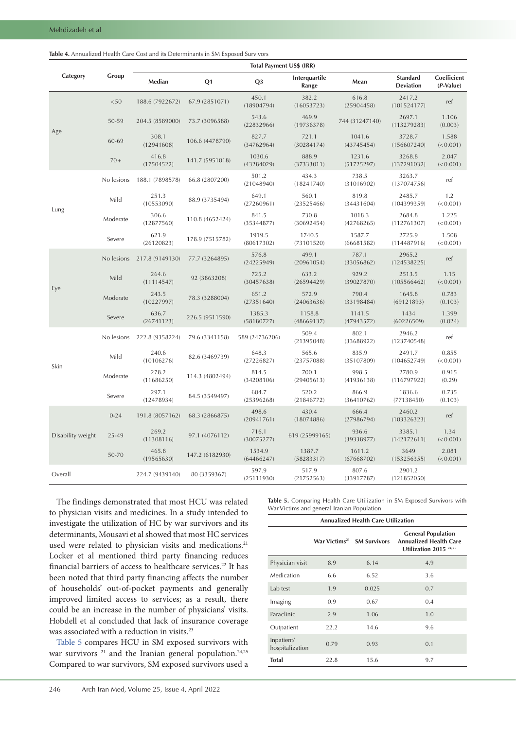<span id="page-5-0"></span>

| <b>Table 4.</b> Annualized Health Care Cost and its Determinants in SM Exposed Survivors |  |
|------------------------------------------------------------------------------------------|--|
|------------------------------------------------------------------------------------------|--|

|                   |            | Total Payment US\$ (IRR) |                 |                      |                        |                      |                                     |                          |  |  |
|-------------------|------------|--------------------------|-----------------|----------------------|------------------------|----------------------|-------------------------------------|--------------------------|--|--|
| Category          | Group      | Median                   | Q1              | Q <sub>3</sub>       | Interquartile<br>Range | Mean                 | <b>Standard</b><br><b>Deviation</b> | Coefficient<br>(P-Value) |  |  |
| Age               | $<\!50$    | 188.6 (7922672)          | 67.9 (2851071)  | 450.1<br>(18904794)  | 382.2<br>(16053723)    | 616.8<br>(25904458)  | 2417.2<br>(101524177)               | ref                      |  |  |
|                   | 50-59      | 204.5 (8589000)          | 73.7 (3096588)  | 543.6<br>(22832966)  | 469.9<br>(19736378)    | 744 (31247140)       | 2697.1<br>(113279283)               | 1.106<br>(0.003)         |  |  |
|                   | 60-69      | 308.1<br>(12941608)      | 106.6 (4478790) | 827.7<br>(34762964)  | 721.1<br>(30284174)    | 1041.6<br>(43745454) | 3728.7<br>(156607240)               | 1.588<br>(< 0.001)       |  |  |
|                   | $70+$      | 416.8<br>(17504522)      | 141.7 (5951018) | 1030.6<br>(43284029) | 888.9<br>(37333011)    | 1231.6<br>(51725297) | 3268.8<br>(137291032)               | 2.047<br>(< 0.001)       |  |  |
|                   | No lesions | 188.1 (7898578)          | 66.8 (2807200)  | 501.2<br>(21048940)  | 434.3<br>(18241740)    | 738.5<br>(31016902)  | 3263.7<br>(137074756)               | ref                      |  |  |
|                   | Mild       | 251.3<br>(10553090)      | 88.9 (3735494)  | 649.1<br>(27260961)  | 560.1<br>(23525466)    | 819.8<br>(34431604)  | 2485.7<br>(104399359)               | 1.2<br>(< 0.001)         |  |  |
| Lung              | Moderate   | 306.6<br>(12877560)      | 110.8 (4652424) | 841.5<br>(35344877)  | 730.8<br>(30692454)    | 1018.3<br>(42768265) | 2684.8<br>(112761307)               | 1.225<br>(< 0.001)       |  |  |
|                   | Severe     | 621.9<br>(26120823)      | 178.9 (7515782) | 1919.5<br>(80617302) | 1740.5<br>(73101520)   | 1587.7<br>(66681582) | 2725.9<br>(114487916)               | 1.508<br>(< 0.001)       |  |  |
|                   | No lesions | 217.8 (9149130)          | 77.7 (3264895)  | 576.8<br>(24225949)  | 499.1<br>(20961054)    | 787.1<br>(33056862)  | 2965.2<br>(124538225)               | ref                      |  |  |
|                   | Mild       | 264.6<br>(11114547)      | 92 (3863208)    | 725.2<br>(30457638)  | 633.2<br>(26594429)    | 929.2<br>(39027870)  | 2513.5<br>(105566462)               | 1.15<br>(< 0.001)        |  |  |
| Eye               | Moderate   | 243.5<br>(10227997)      | 78.3 (3288004)  | 651.2<br>(27351640)  | 572.9<br>(24063636)    | 790.4<br>(33198484)  | 1645.8<br>(69121893)                | 0.783<br>(0.103)         |  |  |
|                   | Severe     | 636.7<br>(26741123)      | 226.5 (9511590) | 1385.3<br>(58180727) | 1158.8<br>(48669137)   | 1141.5<br>(47943572) | 1434<br>(60226509)                  | 1.399<br>(0.024)         |  |  |
|                   | No lesions | 222.8 (9358224)          | 79.6 (3341158)  | 589 (24736206)       | 509.4<br>(21395048)    | 802.1<br>(33688922)  | 2946.2<br>(123740548)               | ref                      |  |  |
|                   | Mild       | 240.6<br>(10106276)      | 82.6 (3469739)  | 648.3<br>(27226827)  | 565.6<br>(23757088)    | 835.9<br>(35107809)  | 2491.7<br>(104652749)               | 0.855<br>(< 0.001)       |  |  |
| Skin              | Moderate   | 278.2<br>(11686250)      | 114.3 (4802494) | 814.5<br>(34208106)  | 700.1<br>(29405613)    | 998.5<br>(41936138)  | 2780.9<br>(116797922)               | 0.915<br>(0.29)          |  |  |
|                   | Severe     | 297.1<br>(12478934)      | 84.5 (3549497)  | 604.7<br>(25396268)  | 520.2<br>(21846772)    | 866.9<br>(36410762)  | 1836.6<br>(77138450)                | 0.735<br>(0.103)         |  |  |
| Disability weight | $0 - 24$   | 191.8 (8057162)          | 68.3 (2866875)  | 498.6<br>(20941761)  | 430.4<br>(18074886)    | 666.4<br>(27986794)  | 2460.2<br>(103326323)               | ref                      |  |  |
|                   | 25-49      | 269.2<br>(11308116)      | 97.1 (4076112)  | 716.1<br>(30075277)  | 619 (25999165)         | 936.6<br>(39338977)  | 3385.1<br>(142172611)               | 1.34<br>(< 0.001)        |  |  |
|                   | 50-70      | 465.8<br>(19565630)      | 147.2 (6182930) | 1534.9<br>(64466247) | 1387.7<br>(58283317)   | 1611.2<br>(67668702) | 3649<br>(153256355)                 | 2.081<br>(< 0.001)       |  |  |
| Overall           |            | 224.7 (9439140)          | 80 (3359367)    | 597.9<br>(25111930)  | 517.9<br>(21752563)    | 807.6<br>(33917787)  | 2901.2<br>(121852050)               |                          |  |  |

The findings demonstrated that most HCU was related to physician visits and medicines. In a study intended to investigate the utilization of HC by war survivors and its determinants, Mousavi et al showed that most HC services used were related to physician visits and medications.<sup>21</sup> Locker et al mentioned third party financing reduces financial barriers of access to healthcare services.22 It has been noted that third party financing affects the number of households' out-of-pocket payments and generally improved limited access to services; as a result, there could be an increase in the number of physicians' visits. Hobdell et al concluded that lack of insurance coverage was associated with a reduction in visits.<sup>23</sup>

[Table](#page-5-1) 5 compares HCU in SM exposed survivors with war survivors<sup>21</sup> and the Iranian general population.<sup>24,25</sup> Compared to war survivors, SM exposed survivors used a

<span id="page-5-1"></span>**Table 5.** Comparing Health Care Utilization in SM Exposed Survivors with War Victims and general Iranian Population

| <b>Annualized Health Care Utilization</b> |      |                                        |                                                                                        |  |  |  |  |
|-------------------------------------------|------|----------------------------------------|----------------------------------------------------------------------------------------|--|--|--|--|
|                                           |      | War Victims <sup>21</sup> SM Survivors | <b>General Population</b><br><b>Annualized Health Care</b><br>Utilization 2015 $24,25$ |  |  |  |  |
| Physician visit                           | 8.9  | 6.14                                   | 4.9                                                                                    |  |  |  |  |
| Medication                                | 6.6  | 6.52                                   | 3.6                                                                                    |  |  |  |  |
| Lab test                                  | 1.9  | 0.025                                  | 0.7                                                                                    |  |  |  |  |
| Imaging                                   | 0.9  | 0.67                                   | 0.4                                                                                    |  |  |  |  |
| Paraclinic                                | 2.9  | 1.06                                   | 1.0                                                                                    |  |  |  |  |
| Outpatient                                | 22.2 | 14.6                                   | 9.6                                                                                    |  |  |  |  |
| Inpatient/<br>hospitalization             | 0.79 | 0.93                                   | 0.1                                                                                    |  |  |  |  |
| <b>Total</b>                              | 22.8 | 15.6                                   | 9.7                                                                                    |  |  |  |  |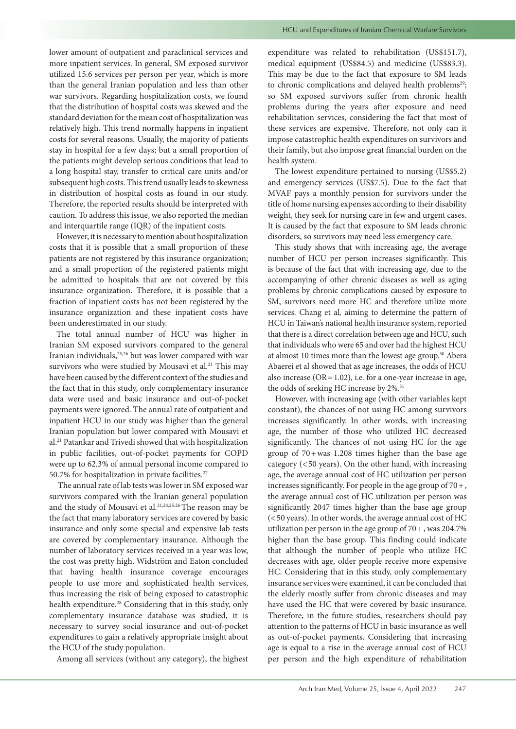lower amount of outpatient and paraclinical services and more inpatient services. In general, SM exposed survivor utilized 15.6 services per person per year, which is more than the general Iranian population and less than other war survivors. Regarding hospitalization costs, we found that the distribution of hospital costs was skewed and the standard deviation for the mean cost of hospitalization was relatively high. This trend normally happens in inpatient costs for several reasons. Usually, the majority of patients stay in hospital for a few days; but a small proportion of the patients might develop serious conditions that lead to a long hospital stay, transfer to critical care units and/or subsequent high costs. This trend usually leads to skewness in distribution of hospital costs as found in our study. Therefore, the reported results should be interpreted with caution. To address this issue, we also reported the median and interquartile range (IQR) of the inpatient costs.

However, it is necessary to mention about hospitalization costs that it is possible that a small proportion of these patients are not registered by this insurance organization; and a small proportion of the registered patients might be admitted to hospitals that are not covered by this insurance organization. Therefore, it is possible that a fraction of inpatient costs has not been registered by the insurance organization and these inpatient costs have been underestimated in our study.

The total annual number of HCU was higher in Iranian SM exposed survivors compared to the general Iranian individuals,25,26 but was lower compared with war survivors who were studied by Mousavi et al*.* 21 This may have been caused by the different context of the studies and the fact that in this study, only complementary insurance data were used and basic insurance and out-of-pocket payments were ignored. The annual rate of outpatient and inpatient HCU in our study was higher than the general Iranian population but lower compared with Mousavi et al.21 Patankar and Trivedi showed that with hospitalization in public facilities, out-of-pocket payments for COPD were up to 62.3% of annual personal income compared to 50.7% for hospitalization in private facilities.<sup>27</sup>

 The annual rate of lab tests was lower in SM exposed war survivors compared with the Iranian general population and the study of Mousavi et al*.* 21,24,25,26 The reason may be the fact that many laboratory services are covered by basic insurance and only some special and expensive lab tests are covered by complementary insurance. Although the number of laboratory services received in a year was low, the cost was pretty high. Widström and Eaton concluded that having health insurance coverage encourages people to use more and sophisticated health services, thus increasing the risk of being exposed to catastrophic health expenditure.<sup>28</sup> Considering that in this study, only complementary insurance database was studied, it is necessary to survey social insurance and out-of-pocket expenditures to gain a relatively appropriate insight about the HCU of the study population.

Among all services (without any category), the highest

expenditure was related to rehabilitation (US\$151.7), medical equipment (US\$84.5) and medicine (US\$83.3). This may be due to the fact that exposure to SM leads to chronic complications and delayed health problems<sup>29</sup>; so SM exposed survivors suffer from chronic health problems during the years after exposure and need rehabilitation services, considering the fact that most of these services are expensive. Therefore, not only can it impose catastrophic health expenditures on survivors and their family, but also impose great financial burden on the health system.

The lowest expenditure pertained to nursing (US\$5.2) and emergency services (US\$7.5). Due to the fact that MVAF pays a monthly pension for survivors under the title of home nursing expenses according to their disability weight, they seek for nursing care in few and urgent cases. It is caused by the fact that exposure to SM leads chronic disorders, so survivors may need less emergency care.

This study shows that with increasing age, the average number of HCU per person increases significantly. This is because of the fact that with increasing age, due to the accompanying of other chronic diseases as well as aging problems by chronic complications caused by exposure to SM, survivors need more HC and therefore utilize more services. Chang et al*,* aiming to determine the pattern of HCU in Taiwan's national health insurance system, reported that there is a direct correlation between age and HCU, such that individuals who were 65 and over had the highest HCU at almost 10 times more than the lowest age group.<sup>30</sup> Abera Abaerei et al showed that as age increases, the odds of HCU also increase ( $OR = 1.02$ ), i.e. for a one-year increase in age, the odds of seeking HC increase by 2%.<sup>31</sup>

However, with increasing age (with other variables kept constant), the chances of not using HC among survivors increases significantly. In other words, with increasing age, the number of those who utilized HC decreased significantly. The chances of not using HC for the age group of 70+was 1.208 times higher than the base age category (<50 years). On the other hand, with increasing age, the average annual cost of HC utilization per person increases significantly. For people in the age group of 70+, the average annual cost of HC utilization per person was significantly 2047 times higher than the base age group (<50 years). In other words, the average annual cost of HC utilization per person in the age group of  $70 +$ , was 204.7% higher than the base group. This finding could indicate that although the number of people who utilize HC decreases with age, older people receive more expensive HC. Considering that in this study, only complementary insurance services were examined, it can be concluded that the elderly mostly suffer from chronic diseases and may have used the HC that were covered by basic insurance. Therefore, in the future studies, researchers should pay attention to the patterns of HCU in basic insurance as well as out-of-pocket payments. Considering that increasing age is equal to a rise in the average annual cost of HCU per person and the high expenditure of rehabilitation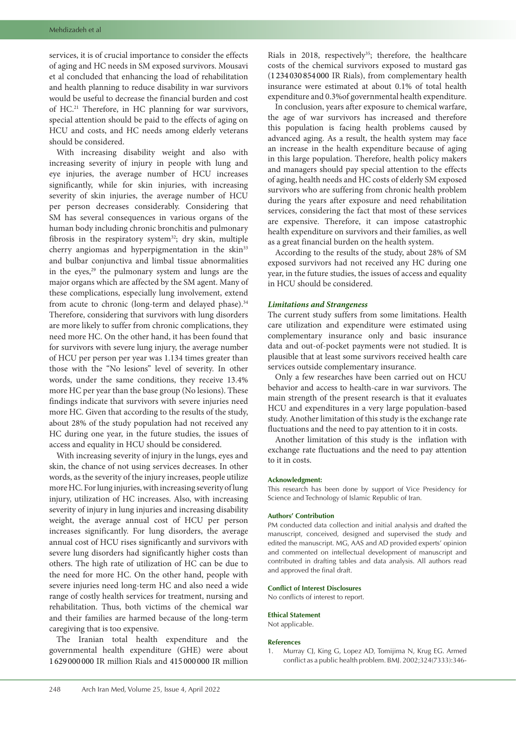services, it is of crucial importance to consider the effects of aging and HC needs in SM exposed survivors. Mousavi et al concluded that enhancing the load of rehabilitation and health planning to reduce disability in war survivors would be useful to decrease the financial burden and cost of HC.21 Therefore, in HC planning for war survivors, special attention should be paid to the effects of aging on HCU and costs, and HC needs among elderly veterans should be considered.

With increasing disability weight and also with increasing severity of injury in people with lung and eye injuries, the average number of HCU increases significantly, while for skin injuries, with increasing severity of skin injuries, the average number of HCU per person decreases considerably. Considering that SM has several consequences in various organs of the human body including chronic bronchitis and pulmonary fibrosis in the respiratory system<sup>32</sup>; dry skin, multiple cherry angiomas and hyperpigmentation in the skin<sup>33</sup> and bulbar conjunctiva and limbal tissue abnormalities in the eyes,<sup>29</sup> the pulmonary system and lungs are the major organs which are affected by the SM agent. Many of these complications, especially lung involvement, extend from acute to chronic (long-term and delayed phase).<sup>34</sup> Therefore, considering that survivors with lung disorders are more likely to suffer from chronic complications, they need more HC. On the other hand, it has been found that for survivors with severe lung injury, the average number of HCU per person per year was 1.134 times greater than those with the "No lesions" level of severity. In other words, under the same conditions, they receive 13.4% more HC per year than the base group (No lesions). These findings indicate that survivors with severe injuries need more HC. Given that according to the results of the study, about 28% of the study population had not received any HC during one year, in the future studies, the issues of access and equality in HCU should be considered.

With increasing severity of injury in the lungs, eyes and skin, the chance of not using services decreases. In other words, as the severity of the injury increases, people utilize more HC. For lung injuries, with increasing severity of lung injury, utilization of HC increases. Also, with increasing severity of injury in lung injuries and increasing disability weight, the average annual cost of HCU per person increases significantly. For lung disorders, the average annual cost of HCU rises significantly and survivors with severe lung disorders had significantly higher costs than others. The high rate of utilization of HC can be due to the need for more HC. On the other hand, people with severe injuries need long-term HC and also need a wide range of costly health services for treatment, nursing and rehabilitation. Thus, both victims of the chemical war and their families are harmed because of the long-term caregiving that is too expensive.

The Iranian total health expenditure and the governmental health expenditure (GHE) were about 1 629 000 000 IR million Rials and 415 000 000 IR million Rials in 2018, respectively<sup>35</sup>; therefore, the healthcare costs of the chemical survivors exposed to mustard gas (1 234 030 854 000 IR Rials), from complementary health insurance were estimated at about 0.1% of total health expenditure and 0.3%of governmental health expenditure.

In conclusion, years after exposure to chemical warfare, the age of war survivors has increased and therefore this population is facing health problems caused by advanced aging. As a result, the health system may face an increase in the health expenditure because of aging in this large population. Therefore, health policy makers and managers should pay special attention to the effects of aging, health needs and HC costs of elderly SM exposed survivors who are suffering from chronic health problem during the years after exposure and need rehabilitation services, considering the fact that most of these services are expensive. Therefore, it can impose catastrophic health expenditure on survivors and their families, as well as a great financial burden on the health system.

According to the results of the study, about 28% of SM exposed survivors had not received any HC during one year, in the future studies, the issues of access and equality in HCU should be considered.

#### *Limitations and Strangeness*

The current study suffers from some limitations. Health care utilization and expenditure were estimated using complementary insurance only and basic insurance data and out-of-pocket payments were not studied. It is plausible that at least some survivors received health care services outside complementary insurance.

Only a few researches have been carried out on HCU behavior and access to health-care in war survivors. The main strength of the present research is that it evaluates HCU and expenditures in a very large population-based study. Another limitation of this study is the exchange rate fluctuations and the need to pay attention to it in costs.

Another limitation of this study is the inflation with exchange rate fluctuations and the need to pay attention to it in costs.

#### **Acknowledgment:**

This research has been done by support of Vice Presidency for Science and Technology of Islamic Republic of Iran.

#### **Authors' Contribution**

PM conducted data collection and initial analysis and drafted the manuscript, conceived, designed and supervised the study and edited the manuscript. MG, AAS and AD provided experts' opinion and commented on intellectual development of manuscript and contributed in drafting tables and data analysis. All authors read and approved the final draft.

#### **Conflict of Interest Disclosures**

No conflicts of interest to report.

#### **Ethical Statement**

Not applicable.

#### **References**

1. Murray CJ, King G, Lopez AD, Tomijima N, Krug EG. Armed conflict as a public health problem. BMJ. 2002;324(7333):346-